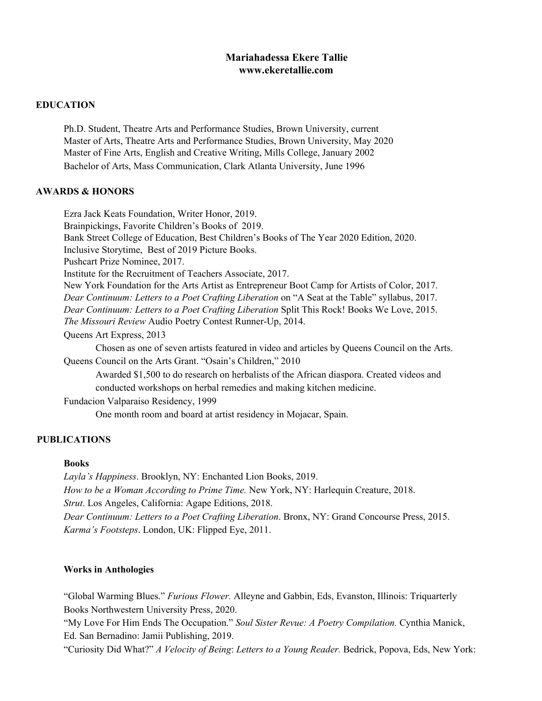## **Mariahadessa Ekere Tallie www.ekeretallie.com**

#### **EDUCATION**

Ph.D. Student, Theatre Arts and Performance Studies, Brown University, current Master of Arts, Theatre Arts and Performance Studies, Brown University, May 2020 Master of Fine Arts, English and Creative Writing, Mills College, January 2002 Bachelor of Arts, Mass Communication, Clark Atlanta University, June 1996

## **AWARDS & HONORS**

Ezra Jack Keats Foundation, Writer Honor, 2019. Brainpickings, Favorite Children's Books of 2019. Bank Street College of Education, Best Children's Books of The Year 2020 Edition, 2020. Inclusive Storytime, Best of 2019 Picture Books. Pushcart Prize Nominee, 2017. Institute for the Recruitment of Teachers Associate, 2017. New York Foundation for the Arts Artist as Entrepreneur Boot Camp for Artists of Color, 2017. *Dear Continuum: Letters to a Poet Crafting Liberation* on "A Seat at the Table" syllabus, 2017. *Dear Continuum: Letters to a Poet Crafting Liberation* Split This Rock! Books We Love, 2015. *The Missouri Review* Audio Poetry Contest Runner-Up, 2014. Queens Art Express, 2013 Chosen as one of seven artists featured in video and articles by Queens Council on the Arts. Queens Council on the Arts Grant. "Osain's Children," 2010 Awarded \$1,500 to do research on herbalists of the African diaspora. Created videos and conducted workshops on herbal remedies and making kitchen medicine. Fundacion Valparaiso Residency, 1999

One month room and board at artist residency in Mojacar, Spain.

## **PUBLICATIONS**

## **Books**

*Layla's Happiness*. Brooklyn, NY: Enchanted Lion Books, 2019. *How to be a Woman According to Prime Time.* New York, NY: Harlequin Creature, 2018. *Strut*. Los Angeles, California: Agape Editions, 2018. *Dear Continuum: Letters to a Poet Crafting Liberation*. Bronx, NY: Grand Concourse Press, 2015. *Karma's Footsteps*. London, UK: Flipped Eye, 2011.

## **Works in Anthologies**

"Global Warming Blues." *Furious Flower.* Alleyne and Gabbin, Eds, Evanston, Illinois: Triquarterly Books Northwestern University Press, 2020.

"My Love For Him Ends The Occupation." *Soul Sister Revue: A Poetry Compilation.* Cynthia Manick, Ed. San Bernadino: Jamii Publishing, 2019.

"Curiosity Did What?" *A Velocity of Being*: *Letters to a Young Reader.* Bedrick, Popova, Eds, New York: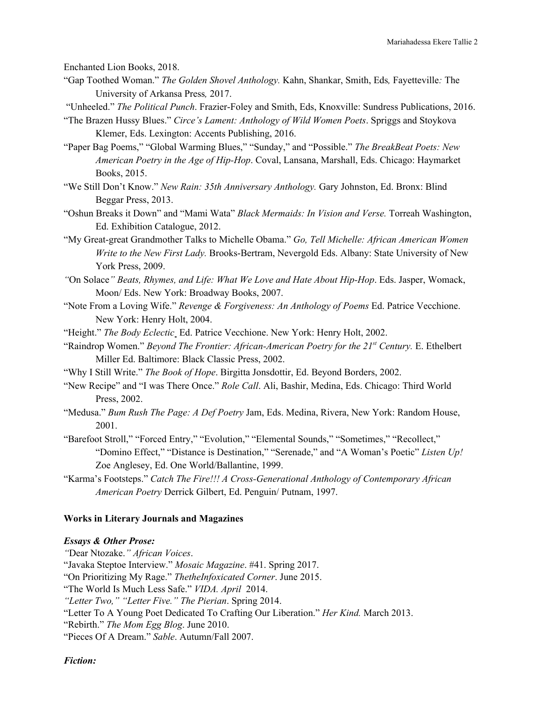Enchanted Lion Books, 2018.

- "Gap Toothed Woman." *The Golden Shovel Anthology.* Kahn, Shankar, Smith, Eds*,* Fayetteville*:* The University of Arkansa Press*,* 2017.
- "Unheeled." *The Political Punch*. Frazier-Foley and Smith, Eds, Knoxville: Sundress Publications, 2016.
- "The Brazen Hussy Blues." *Circe's Lament: Anthology of Wild Women Poets*. Spriggs and Stoykova Klemer, Eds. Lexington: Accents Publishing, 2016.
- "Paper Bag Poems," "Global Warming Blues," "Sunday," and "Possible." *The BreakBeat Poets: New American Poetry in the Age of Hip-Hop*. Coval, Lansana, Marshall, Eds. Chicago: Haymarket Books, 2015.
- "We Still Don't Know." *New Rain: 35th Anniversary Anthology.* Gary Johnston, Ed. Bronx: Blind Beggar Press, 2013.
- "Oshun Breaks it Down" and "Mami Wata" *Black Mermaids: In Vision and Verse.* Torreah Washington, Ed. Exhibition Catalogue, 2012.
- "My Great-great Grandmother Talks to Michelle Obama." *Go, Tell Michelle: African American Women Write to the New First Lady.* Brooks-Bertram, Nevergold Eds. Albany: State University of New York Press, 2009.
- *"*On Solace*" Beats, Rhymes, and Life: What We Love and Hate About Hip-Hop*. Eds. Jasper, Womack, Moon/ Eds. New York: Broadway Books, 2007.
- "Note From a Loving Wife." *Revenge & Forgiveness: An Anthology of Poems* Ed. Patrice Vecchione. New York: Henry Holt, 2004.
- "Height." *The Body Eclectic* Ed. Patrice Vecchione. New York: Henry Holt, 2002.
- "Raindrop Women." *Beyond The Frontier: African-American Poetry for the 21 st Century.* E. Ethelbert Miller Ed. Baltimore: Black Classic Press, 2002.
- "Why I Still Write." *The Book of Hope*. Birgitta Jonsdottir, Ed. Beyond Borders, 2002.
- "New Recipe" and "I was There Once." *Role Call*. Ali, Bashir, Medina, Eds. Chicago: Third World Press, 2002.
- "Medusa." *Bum Rush The Page: A Def Poetry* Jam, Eds. Medina, Rivera, New York: Random House, 2001.
- "Barefoot Stroll," "Forced Entry," "Evolution," "Elemental Sounds," "Sometimes," "Recollect," "Domino Effect," "Distance is Destination," "Serenade," and "A Woman's Poetic" *Listen Up!* Zoe Anglesey, Ed. One World/Ballantine, 1999.
- "Karma's Footsteps." *Catch The Fire!!! A Cross-Generational Anthology of Contemporary African American Poetry* Derrick Gilbert, Ed. Penguin/ Putnam, 1997.

## **Works in Literary Journals and Magazines**

#### *Essays & Other Prose:*

*"*Dear Ntozake.*" African Voices*. "Javaka Steptoe Interview." *Mosaic Magazine*. #41. Spring 2017. "On Prioritizing My Rage." *ThetheInfoxicated Corner*. June 2015. "The World Is Much Less Safe." *VIDA. April* 2014.

*"Letter Two," "Letter Five." The Pierian*. Spring 2014.

"Letter To A Young Poet Dedicated To Crafting Our Liberation." *Her Kind.* March 2013.

"Rebirth." *The Mom Egg Blog*. June 2010.

"Pieces Of A Dream." *Sable*. Autumn/Fall 2007.

*Fiction:*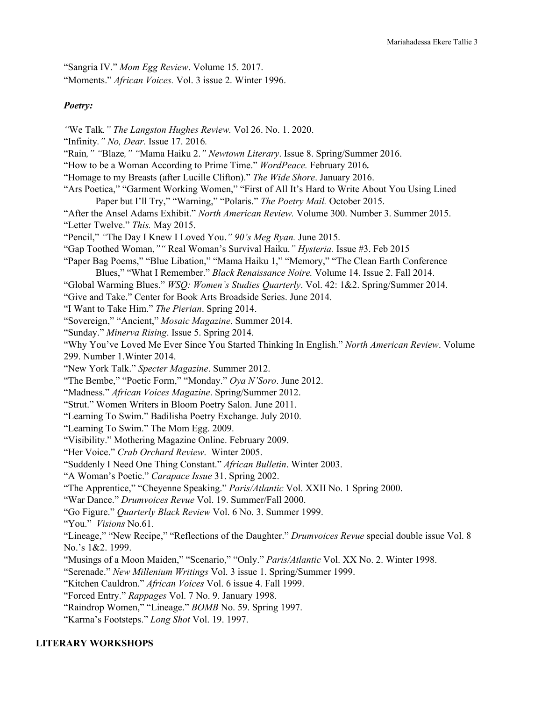"Sangria IV." *Mom Egg Review*. Volume 15. 2017.

"Moments." *African Voices.* Vol. 3 issue 2. Winter 1996.

## *Poetry:*

- *"*We Talk*." The Langston Hughes Review.* Vol 26. No. 1. 2020.
- "Infinity*." No, Dear.* Issue 17. 2016*.*
- "Rain*," "*Blaze*," "*Mama Haiku 2.*" Newtown Literary*. Issue 8. Spring/Summer 2016.
- "How to be a Woman According to Prime Time." *WordPeace.* February 2016*.*
- "Homage to my Breasts (after Lucille Clifton)." *The Wide Shore*. January 2016.
- "Ars Poetica," "Garment Working Women," "First of All It's Hard to Write About You Using Lined Paper but I'll Try," "Warning," "Polaris." *The Poetry Mail.* October 2015.
- "After the Ansel Adams Exhibit." *North American Review.* Volume 300. Number 3. Summer 2015. "Letter Twelve." *This.* May 2015.
- "Pencil," *"*The Day I Knew I Loved You.*" 90's Meg Ryan.* June 2015.
- "Gap Toothed Woman,*""* Real Woman's Survival Haiku.*" Hysteria.* Issue #3. Feb 2015
- "Paper Bag Poems," "Blue Libation," "Mama Haiku 1," "Memory," "The Clean Earth Conference Blues," "What I Remember." *Black Renaissance Noire.* Volume 14. Issue 2. Fall 2014.
- "Global Warming Blues." *WSQ: Women's Studies Quarterly*. Vol. 42: 1&2. Spring/Summer 2014.
- "Give and Take." Center for Book Arts Broadside Series. June 2014.
- "I Want to Take Him." *The Pierian*. Spring 2014.
- "Sovereign," "Ancient," *Mosaic Magazine*. Summer 2014.
- "Sunday." *Minerva Rising*. Issue 5. Spring 2014.

"Why You've Loved Me Ever Since You Started Thinking In English." *North American Review*. Volume 299. Number 1.Winter 2014.

- "New York Talk." *Specter Magazine*. Summer 2012.
- "The Bembe," "Poetic Form," "Monday." *Oya N'Soro*. June 2012.
- "Madness." *African Voices Magazine*. Spring/Summer 2012.
- "Strut." Women Writers in Bloom Poetry Salon. June 2011.
- "Learning To Swim." Badilisha Poetry Exchange. July 2010.
- "Learning To Swim." The Mom Egg. 2009.
- "Visibility." Mothering Magazine Online. February 2009.
- "Her Voice." *Crab Orchard Review*. Winter 2005.
- "Suddenly I Need One Thing Constant." *African Bulletin*. Winter 2003.
- "A Woman's Poetic." *Carapace Issue* 31. Spring 2002.
- "The Apprentice," "Cheyenne Speaking." *Paris/Atlantic* Vol. XXII No. 1 Spring 2000.
- "War Dance." *Drumvoices Revue* Vol. 19. Summer/Fall 2000.
- "Go Figure." *Quarterly Black Review* Vol. 6 No. 3. Summer 1999.
- "You." *Visions* No.61.
- "Lineage," "New Recipe," "Reflections of the Daughter." *Drumvoices Revue* special double issue Vol. 8 No.'s 1&2. 1999.
- "Musings of a Moon Maiden," "Scenario," "Only." *Paris/Atlantic* Vol. XX No. 2. Winter 1998.
- "Serenade." *New Millenium Writings* Vol. 3 issue 1. Spring/Summer 1999.
- "Kitchen Cauldron." *African Voices* Vol. 6 issue 4. Fall 1999.
- "Forced Entry." *Rappages* Vol. 7 No. 9. January 1998.
- "Raindrop Women," "Lineage." *BOMB* No. 59. Spring 1997.
- "Karma's Footsteps." *Long Shot* Vol. 19. 1997.

## **LITERARY WORKSHOPS**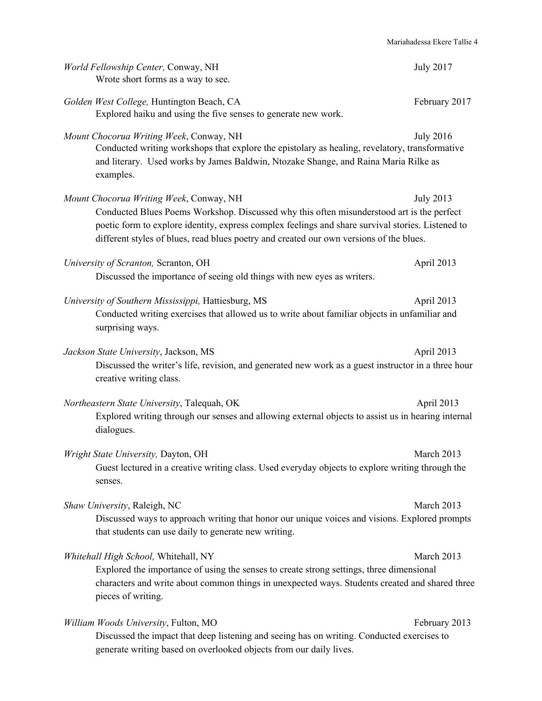| World Fellowship Center, Conway, NH<br>Wrote short forms as a way to see.                                                                                                                                                                                                                                                            | <b>July 2017</b> |
|--------------------------------------------------------------------------------------------------------------------------------------------------------------------------------------------------------------------------------------------------------------------------------------------------------------------------------------|------------------|
| Golden West College, Huntington Beach, CA<br>Explored haiku and using the five senses to generate new work.                                                                                                                                                                                                                          | February 2017    |
| Mount Chocorua Writing Week, Conway, NH<br>Conducted writing workshops that explore the epistolary as healing, revelatory, transformative<br>and literary. Used works by James Baldwin, Ntozake Shange, and Raina Maria Rilke as<br>examples.                                                                                        | <b>July 2016</b> |
| Mount Chocorua Writing Week, Conway, NH<br>Conducted Blues Poems Workshop. Discussed why this often misunderstood art is the perfect<br>poetic form to explore identity, express complex feelings and share survival stories. Listened to<br>different styles of blues, read blues poetry and created our own versions of the blues. | <b>July 2013</b> |
| University of Scranton, Scranton, OH<br>Discussed the importance of seeing old things with new eyes as writers.                                                                                                                                                                                                                      | April 2013       |
| University of Southern Mississippi, Hattiesburg, MS<br>Conducted writing exercises that allowed us to write about familiar objects in unfamiliar and<br>surprising ways.                                                                                                                                                             | April 2013       |
| Jackson State University, Jackson, MS<br>Discussed the writer's life, revision, and generated new work as a guest instructor in a three hour<br>creative writing class.                                                                                                                                                              | April 2013       |
| Northeastern State University, Talequah, OK<br>Explored writing through our senses and allowing external objects to assist us in hearing internal<br>dialogues.                                                                                                                                                                      | April 2013       |
| Wright State University, Dayton, OH<br>Guest lectured in a creative writing class. Used everyday objects to explore writing through the<br>senses.                                                                                                                                                                                   | March 2013       |
| Shaw University, Raleigh, NC<br>Discussed ways to approach writing that honor our unique voices and visions. Explored prompts<br>that students can use daily to generate new writing.                                                                                                                                                | March 2013       |
| Whitehall High School, Whitehall, NY<br>Explored the importance of using the senses to create strong settings, three dimensional<br>characters and write about common things in unexpected ways. Students created and shared three<br>pieces of writing.                                                                             | March 2013       |
| William Woods University, Fulton, MO<br>Discussed the impact that deep listening and seeing has on writing. Conducted exercises to<br>generate writing based on overlooked objects from our daily lives.                                                                                                                             | February 2013    |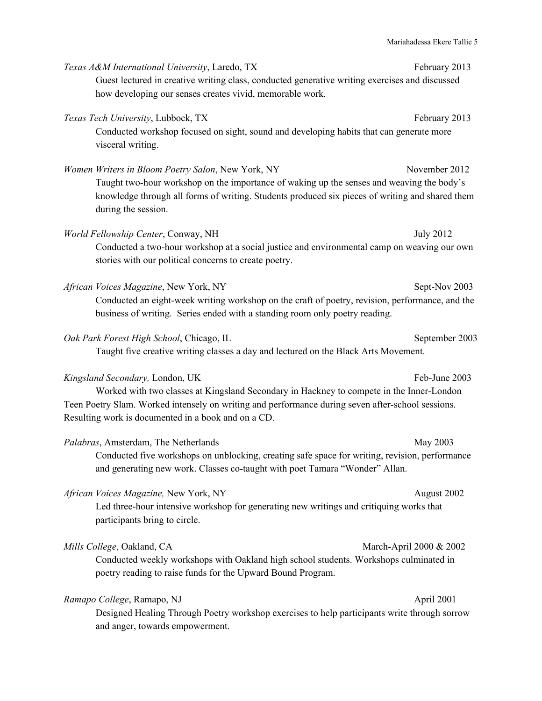|                                                                                                                                                                                                                                                                                         | Mariahadessa Ekere Tallie 5 |
|-----------------------------------------------------------------------------------------------------------------------------------------------------------------------------------------------------------------------------------------------------------------------------------------|-----------------------------|
| Texas A&M International University, Laredo, TX<br>Guest lectured in creative writing class, conducted generative writing exercises and discussed<br>how developing our senses creates vivid, memorable work.                                                                            | February 2013               |
| Texas Tech University, Lubbock, TX<br>Conducted workshop focused on sight, sound and developing habits that can generate more<br>visceral writing.                                                                                                                                      | February 2013               |
| Women Writers in Bloom Poetry Salon, New York, NY<br>Taught two-hour workshop on the importance of waking up the senses and weaving the body's<br>knowledge through all forms of writing. Students produced six pieces of writing and shared them<br>during the session.                | November 2012               |
| World Fellowship Center, Conway, NH<br>Conducted a two-hour workshop at a social justice and environmental camp on weaving our own<br>stories with our political concerns to create poetry.                                                                                             | <b>July 2012</b>            |
| African Voices Magazine, New York, NY<br>Conducted an eight-week writing workshop on the craft of poetry, revision, performance, and the<br>business of writing. Series ended with a standing room only poetry reading.                                                                 | Sept-Nov 2003               |
| Oak Park Forest High School, Chicago, IL<br>Taught five creative writing classes a day and lectured on the Black Arts Movement.                                                                                                                                                         | September 2003              |
| Kingsland Secondary, London, UK<br>Worked with two classes at Kingsland Secondary in Hackney to compete in the Inner-London<br>Teen Poetry Slam. Worked intensely on writing and performance during seven after-school sessions.<br>Resulting work is documented in a book and on a CD. | Feb-June 2003               |
| Palabras, Amsterdam, The Netherlands<br>Conducted five workshops on unblocking, creating safe space for writing, revision, performance<br>and generating new work. Classes co-taught with poet Tamara "Wonder" Allan.                                                                   | May 2003                    |
| African Voices Magazine, New York, NY<br>Led three-hour intensive workshop for generating new writings and critiquing works that<br>participants bring to circle.                                                                                                                       | August 2002                 |
| Mills College, Oakland, CA<br>Conducted weekly workshops with Oakland high school students. Workshops culminated in<br>poetry reading to raise funds for the Upward Bound Program.                                                                                                      | March-April 2000 & 2002     |

# *Ramapo College*, Ramapo, NJ April 2001

Designed Healing Through Poetry workshop exercises to help participants write through sorrow and anger, towards empowerment.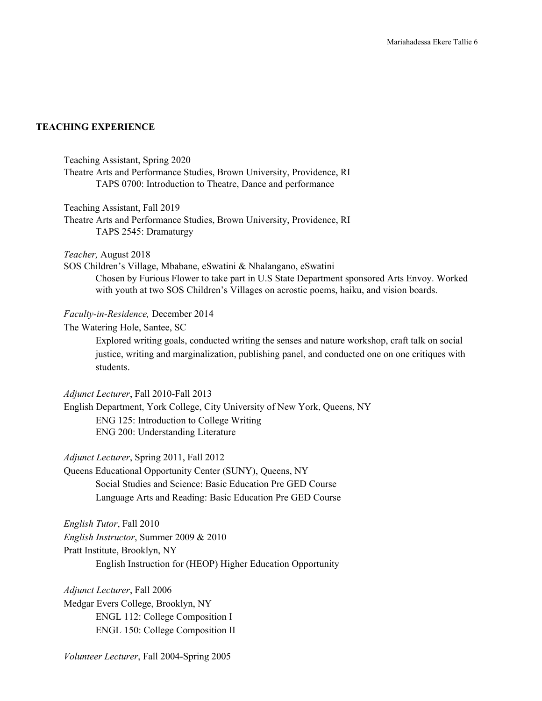## **TEACHING EXPERIENCE**

Teaching Assistant, Spring 2020

Theatre Arts and Performance Studies, Brown University, Providence, RI TAPS 0700: Introduction to Theatre, Dance and performance

Teaching Assistant, Fall 2019

Theatre Arts and Performance Studies, Brown University, Providence, RI TAPS 2545: Dramaturgy

*Teacher,* August 2018

SOS Children's Village, Mbabane, eSwatini & Nhalangano, eSwatini Chosen by Furious Flower to take part in U.S State Department sponsored Arts Envoy. Worked with youth at two SOS Children's Villages on acrostic poems, haiku, and vision boards.

#### *Faculty-in-Residence,* December 2014

The Watering Hole, Santee, SC

Explored writing goals, conducted writing the senses and nature workshop, craft talk on social justice, writing and marginalization, publishing panel, and conducted one on one critiques with students.

## *Adjunct Lecturer*, Fall 2010-Fall 2013

English Department, York College, City University of New York, Queens, NY ENG 125: Introduction to College Writing ENG 200: Understanding Literature

*Adjunct Lecturer*, Spring 2011, Fall 2012

Queens Educational Opportunity Center (SUNY), Queens, NY Social Studies and Science: Basic Education Pre GED Course Language Arts and Reading: Basic Education Pre GED Course

*English Tutor*, Fall 2010

*English Instructor*, Summer 2009 & 2010 Pratt Institute, Brooklyn, NY English Instruction for (HEOP) Higher Education Opportunity

*Adjunct Lecturer*, Fall 2006

Medgar Evers College, Brooklyn, NY ENGL 112: College Composition I ENGL 150: College Composition II

*Volunteer Lecturer*, Fall 2004-Spring 2005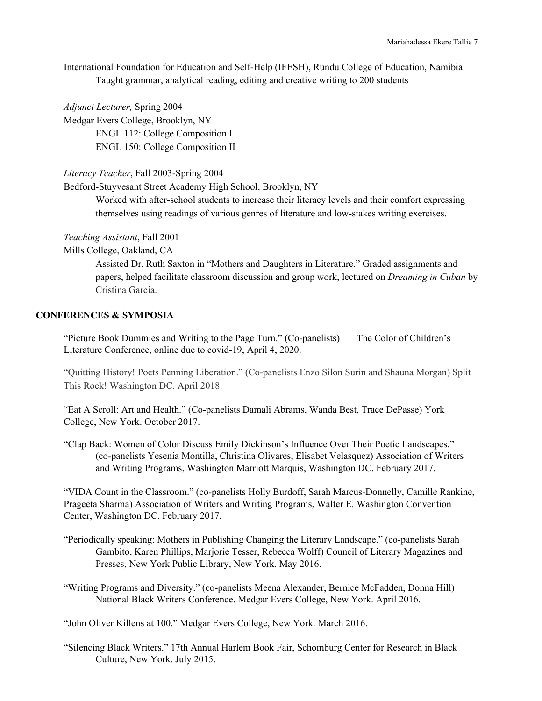International Foundation for Education and Self-Help (IFESH), Rundu College of Education, Namibia Taught grammar, analytical reading, editing and creative writing to 200 students

*Adjunct Lecturer,* Spring 2004

Medgar Evers College, Brooklyn, NY ENGL 112: College Composition I ENGL 150: College Composition II

*Literacy Teacher*, Fall 2003-Spring 2004

Bedford-Stuyvesant Street Academy High School, Brooklyn, NY

Worked with after-school students to increase their literacy levels and their comfort expressing themselves using readings of various genres of literature and low-stakes writing exercises.

#### *Teaching Assistant*, Fall 2001

Mills College, Oakland, CA

Assisted Dr. Ruth Saxton in "Mothers and Daughters in Literature." Graded assignments and papers, helped facilitate classroom discussion and group work, lectured on *Dreaming in Cuban* by Cristina García.

#### **CONFERENCES & SYMPOSIA**

"Picture Book Dummies and Writing to the Page Turn." (Co-panelists) The Color of Children's Literature Conference, online due to covid-19, April 4, 2020.

"Quitting History! Poets Penning Liberation." (Co-panelists Enzo Silon Surin and Shauna Morgan) Split This Rock! Washington DC. April 2018.

"Eat A Scroll: Art and Health." (Co-panelists Damali Abrams, Wanda Best, Trace DePasse) York College, New York. October 2017.

"Clap Back: Women of Color Discuss Emily Dickinson's Influence Over Their Poetic Landscapes." (co-panelists Yesenia Montilla, Christina Olivares, Elisabet Velasquez) Association of Writers and Writing Programs, Washington Marriott Marquis, Washington DC. February 2017.

"VIDA Count in the Classroom." (co-panelists Holly Burdoff, Sarah Marcus-Donnelly, Camille Rankine, Prageeta Sharma) Association of Writers and Writing Programs, Walter E. Washington Convention Center, Washington DC. February 2017.

- "Periodically speaking: Mothers in Publishing Changing the Literary Landscape." (co-panelists Sarah Gambito, Karen Phillips, Marjorie Tesser, Rebecca Wolff) Council of Literary Magazines and Presses, New York Public Library, New York. May 2016.
- "Writing Programs and Diversity." (co-panelists Meena Alexander, Bernice McFadden, Donna Hill) National Black Writers Conference. Medgar Evers College, New York. April 2016.

"John Oliver Killens at 100." Medgar Evers College, New York. March 2016.

"Silencing Black Writers." 17th Annual Harlem Book Fair, Schomburg Center for Research in Black Culture, New York. July 2015.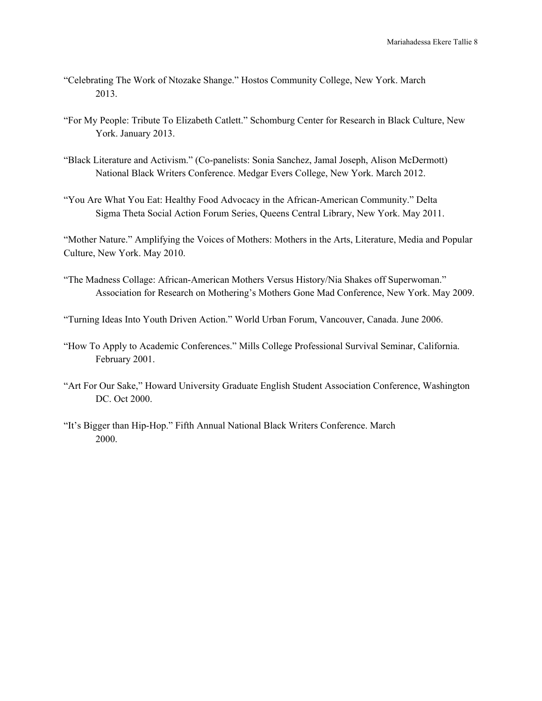- "Celebrating The Work of Ntozake Shange." Hostos Community College, New York. March 2013.
- "For My People: Tribute To Elizabeth Catlett." Schomburg Center for Research in Black Culture, New York. January 2013.
- "Black Literature and Activism." (Co-panelists: Sonia Sanchez, Jamal Joseph, Alison McDermott) National Black Writers Conference. Medgar Evers College, New York. March 2012.
- "You Are What You Eat: Healthy Food Advocacy in the African-American Community." Delta Sigma Theta Social Action Forum Series, Queens Central Library, New York. May 2011.

"Mother Nature." Amplifying the Voices of Mothers: Mothers in the Arts, Literature, Media and Popular Culture, New York. May 2010.

"The Madness Collage: African-American Mothers Versus History/Nia Shakes off Superwoman." Association for Research on Mothering's Mothers Gone Mad Conference, New York. May 2009.

"Turning Ideas Into Youth Driven Action." World Urban Forum, Vancouver, Canada. June 2006.

- "How To Apply to Academic Conferences." Mills College Professional Survival Seminar, California. February 2001.
- "Art For Our Sake," Howard University Graduate English Student Association Conference, Washington DC. Oct 2000.
- "It's Bigger than Hip-Hop." Fifth Annual National Black Writers Conference. March 2000.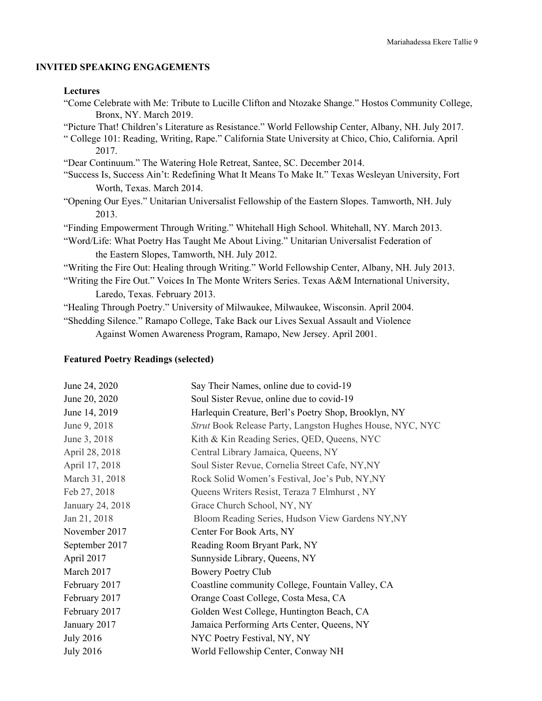## **INVITED SPEAKING ENGAGEMENTS**

#### **Lectures**

| "Come Celebrate with Me: Tribute to Lucille Clifton and Ntozake Shange." Hostos Community College,   |
|------------------------------------------------------------------------------------------------------|
| Bronx, NY. March 2019.                                                                               |
| "Picture That! Children's Literature as Resistance." World Fellowship Center, Albany, NH. July 2017. |
| "College 101: Reading, Writing, Rape." California State University at Chico, Chio, California. April |
| 2017.                                                                                                |
| "Dear Continuum." The Watering Hole Retreat, Santee, SC. December 2014.                              |
| "Success Is, Success Ain't: Redefining What It Means To Make It." Texas Wesleyan University, Fort    |
| Worth, Texas. March 2014.                                                                            |
| "Opening Our Eyes." Unitarian Universalist Fellowship of the Eastern Slopes. Tamworth, NH. July      |
| 2013.                                                                                                |
| "Finding Empowerment Through Writing." Whitehall High School. Whitehall, NY. March 2013.             |
| "Word/Life: What Poetry Has Taught Me About Living." Unitarian Universalist Federation of            |
| the Eastern Slopes, Tamworth, NH. July 2012.                                                         |
| "Writing the Fire Out: Healing through Writing." World Fellowship Center, Albany, NH. July 2013.     |
| "Writing the Fire Out." Voices In The Monte Writers Series. Texas A&M International University,      |

Laredo, Texas. February 2013.

"Healing Through Poetry." University of Milwaukee, Milwaukee, Wisconsin. April 2004.

"Shedding Silence." Ramapo College, Take Back our Lives Sexual Assault and Violence Against Women Awareness Program, Ramapo, New Jersey. April 2001.

#### **Featured Poetry Readings (selected)**

| June 24, 2020    | Say Their Names, online due to covid-19                   |
|------------------|-----------------------------------------------------------|
| June 20, 2020    | Soul Sister Revue, online due to covid-19                 |
| June 14, 2019    | Harlequin Creature, Berl's Poetry Shop, Brooklyn, NY      |
| June 9, 2018     | Strut Book Release Party, Langston Hughes House, NYC, NYC |
| June 3, 2018     | Kith & Kin Reading Series, QED, Queens, NYC               |
| April 28, 2018   | Central Library Jamaica, Queens, NY                       |
| April 17, 2018   | Soul Sister Revue, Cornelia Street Cafe, NY, NY           |
| March 31, 2018   | Rock Solid Women's Festival, Joe's Pub, NY, NY            |
| Feb 27, 2018     | Queens Writers Resist, Teraza 7 Elmhurst, NY              |
| January 24, 2018 | Grace Church School, NY, NY                               |
| Jan 21, 2018     | Bloom Reading Series, Hudson View Gardens NY, NY          |
| November 2017    | Center For Book Arts, NY                                  |
| September 2017   | Reading Room Bryant Park, NY                              |
| April 2017       | Sunnyside Library, Queens, NY                             |
| March 2017       | <b>Bowery Poetry Club</b>                                 |
| February 2017    | Coastline community College, Fountain Valley, CA          |
| February 2017    | Orange Coast College, Costa Mesa, CA                      |
| February 2017    | Golden West College, Huntington Beach, CA                 |
| January 2017     | Jamaica Performing Arts Center, Queens, NY                |
| <b>July 2016</b> | NYC Poetry Festival, NY, NY                               |
| <b>July 2016</b> | World Fellowship Center, Conway NH                        |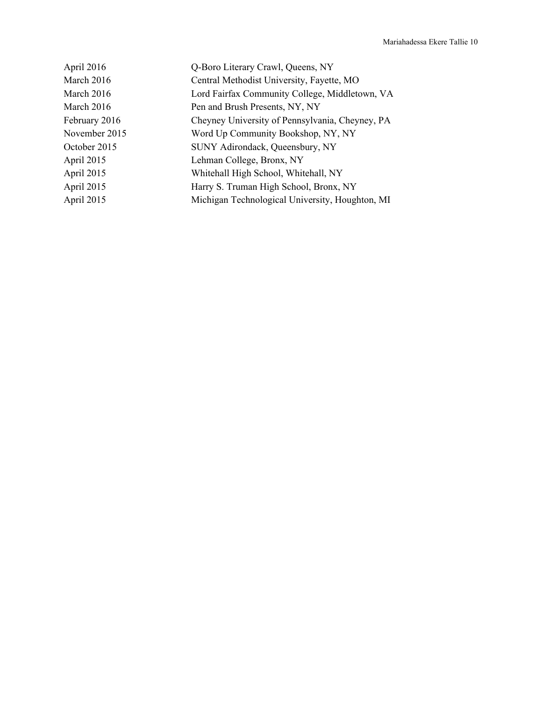| April 2016    | Q-Boro Literary Crawl, Queens, NY               |
|---------------|-------------------------------------------------|
| March 2016    | Central Methodist University, Fayette, MO       |
| March 2016    | Lord Fairfax Community College, Middletown, VA  |
| March 2016    | Pen and Brush Presents, NY, NY                  |
| February 2016 | Cheyney University of Pennsylvania, Cheyney, PA |
| November 2015 | Word Up Community Bookshop, NY, NY              |
| October 2015  | SUNY Adirondack, Queensbury, NY                 |
| April 2015    | Lehman College, Bronx, NY                       |
| April 2015    | Whitehall High School, Whitehall, NY            |
| April 2015    | Harry S. Truman High School, Bronx, NY          |
| April 2015    | Michigan Technological University, Houghton, MI |
|               |                                                 |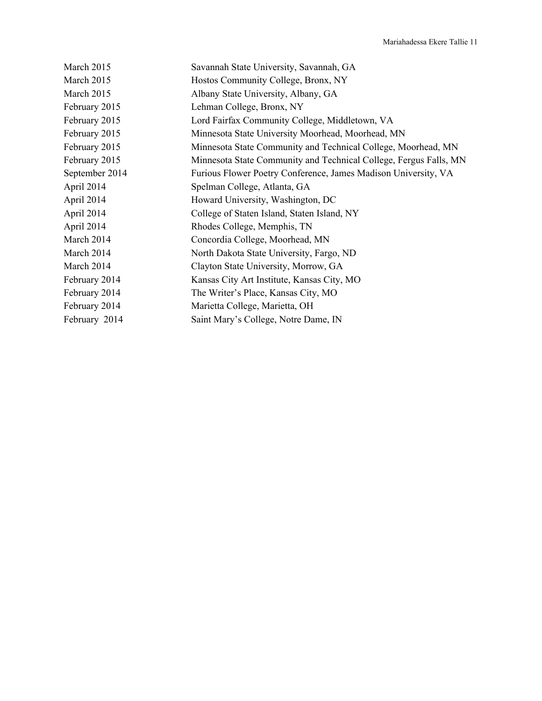| Savannah State University, Savannah, GA                           |
|-------------------------------------------------------------------|
| Hostos Community College, Bronx, NY                               |
| Albany State University, Albany, GA                               |
| Lehman College, Bronx, NY                                         |
| Lord Fairfax Community College, Middletown, VA                    |
| Minnesota State University Moorhead, Moorhead, MN                 |
| Minnesota State Community and Technical College, Moorhead, MN     |
| Minnesota State Community and Technical College, Fergus Falls, MN |
| Furious Flower Poetry Conference, James Madison University, VA    |
| Spelman College, Atlanta, GA                                      |
| Howard University, Washington, DC                                 |
| College of Staten Island, Staten Island, NY                       |
| Rhodes College, Memphis, TN                                       |
| Concordia College, Moorhead, MN                                   |
| North Dakota State University, Fargo, ND                          |
| Clayton State University, Morrow, GA                              |
| Kansas City Art Institute, Kansas City, MO                        |
| The Writer's Place, Kansas City, MO                               |
| Marietta College, Marietta, OH                                    |
| Saint Mary's College, Notre Dame, IN                              |
|                                                                   |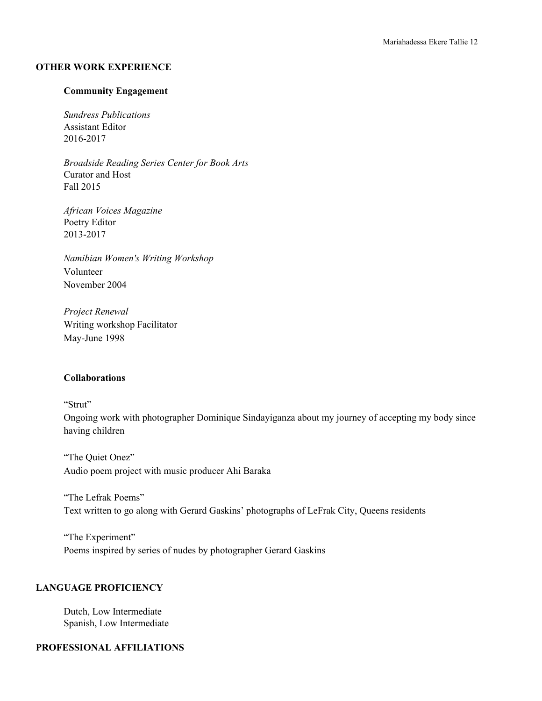#### **OTHER WORK EXPERIENCE**

#### **Community Engagement**

*Sundress Publications* Assistant Editor 2016-2017

*Broadside Reading Series Center for Book Arts* Curator and Host Fall 2015

*African Voices Magazine* Poetry Editor 2013-2017

*Namibian Women's Writing Workshop* Volunteer November 2004

*Project Renewal* Writing workshop Facilitator May-June 1998

#### **Collaborations**

"Strut"

Ongoing work with photographer Dominique Sindayiganza about my journey of accepting my body since having children

"The Quiet Onez" Audio poem project with music producer Ahi Baraka

"The Lefrak Poems" Text written to go along with Gerard Gaskins' photographs of LeFrak City, Queens residents

"The Experiment" Poems inspired by series of nudes by photographer Gerard Gaskins

## **LANGUAGE PROFICIENCY**

Dutch, Low Intermediate Spanish, Low Intermediate

## **PROFESSIONAL AFFILIATIONS**